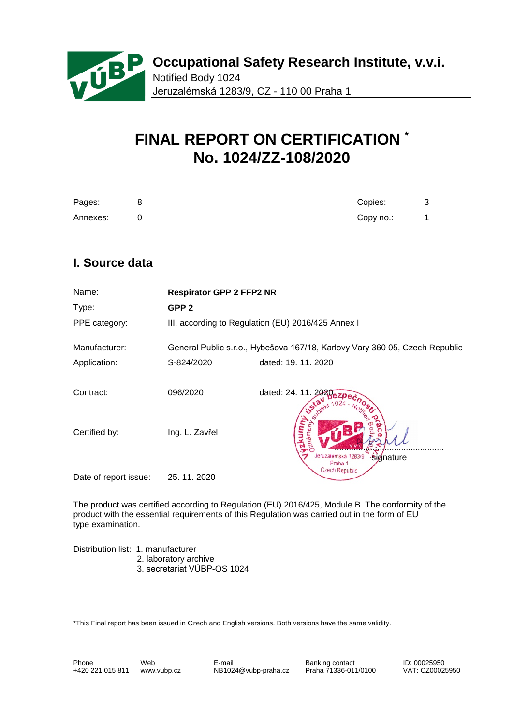

# **FINAL REPORT ON CERTIFICATION \* No. 1024/ZZ-108/2020**

| Pages:   | Copies:   |  |
|----------|-----------|--|
| Annexes: | Copy no.: |  |

## **I. Source data**

| Name:                 | <b>Respirator GPP 2 FFP2 NR</b> |                                                                             |
|-----------------------|---------------------------------|-----------------------------------------------------------------------------|
| Type:                 | GPP <sub>2</sub>                |                                                                             |
| PPE category:         |                                 | III. according to Regulation (EU) 2016/425 Annex I                          |
| Manufacturer:         |                                 | General Public s.r.o., Hybešova 167/18, Karlovy Vary 360 05, Czech Republic |
| Application:          | S-824/2020                      | dated: 19. 11. 2020                                                         |
| Contract:             | 096/2020                        | dated: 24. 11. 202                                                          |
| Certified by:         | Ing. L. Zavřel                  | leruzalémská 1283/9<br>Signature                                            |
| Date of report issue: | 25.11.2020                      | Czech Republic                                                              |

The product was certified according to Regulation (EU) 2016/425, Module B. The conformity of the product with the essential requirements of this Regulation was carried out in the form of EU type examination.

Distribution list: 1. manufacturer 2. laboratory archive 3. secretariat VÚBP-OS 1024

\*This Final report has been issued in Czech and English versions. Both versions have the same validity.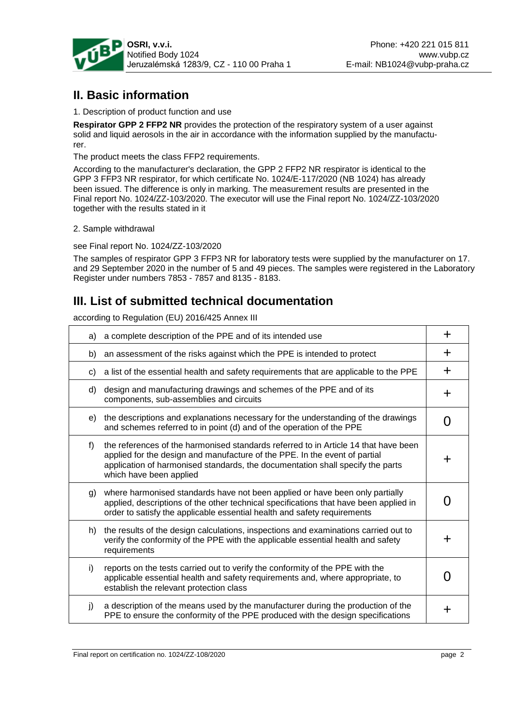

## **II. Basic information**

1. Description of product function and use

**Respirator GPP 2 FFP2 NR** provides the protection of the respiratory system of a user against solid and liquid aerosols in the air in accordance with the information supplied by the manufacturer.

The product meets the class FFP2 requirements.

According to the manufacturer's declaration, the GPP 2 FFP2 NR respirator is identical to the GPP 3 FFP3 NR respirator, for which certificate No. 1024/E-117/2020 (NB 1024) has already been issued. The difference is only in marking. The measurement results are presented in the Final report No. 1024/ZZ-103/2020. The executor will use the Final report No. 1024/ZZ-103/2020 together with the results stated in it

2. Sample withdrawal

see Final report No. 1024/ZZ-103/2020

The samples of respirator GPP 3 FFP3 NR for laboratory tests were supplied by the manufacturer on 17. and 29 September 2020 in the number of 5 and 49 pieces. The samples were registered in the Laboratory Register under numbers 7853 - 7857 and 8135 - 8183.

## **III. List of submitted technical documentation**

according to Regulation (EU) 2016/425 Annex III

| a) | a complete description of the PPE and of its intended use                                                                                                                                                                                                                      | ┿                 |
|----|--------------------------------------------------------------------------------------------------------------------------------------------------------------------------------------------------------------------------------------------------------------------------------|-------------------|
| b) | an assessment of the risks against which the PPE is intended to protect                                                                                                                                                                                                        | ┿                 |
| C) | a list of the essential health and safety requirements that are applicable to the PPE                                                                                                                                                                                          | ╋                 |
| d) | design and manufacturing drawings and schemes of the PPE and of its<br>components, sub-assemblies and circuits                                                                                                                                                                 | ┿                 |
| e) | the descriptions and explanations necessary for the understanding of the drawings<br>and schemes referred to in point (d) and of the operation of the PPE                                                                                                                      | $\mathbf{\Omega}$ |
| f) | the references of the harmonised standards referred to in Article 14 that have been<br>applied for the design and manufacture of the PPE. In the event of partial<br>application of harmonised standards, the documentation shall specify the parts<br>which have been applied | ┿                 |
| g) | where harmonised standards have not been applied or have been only partially<br>applied, descriptions of the other technical specifications that have been applied in<br>order to satisfy the applicable essential health and safety requirements                              |                   |
| h) | the results of the design calculations, inspections and examinations carried out to<br>verify the conformity of the PPE with the applicable essential health and safety<br>requirements                                                                                        | ┿                 |
| i) | reports on the tests carried out to verify the conformity of the PPE with the<br>applicable essential health and safety requirements and, where appropriate, to<br>establish the relevant protection class                                                                     |                   |
| j) | a description of the means used by the manufacturer during the production of the<br>PPE to ensure the conformity of the PPE produced with the design specifications                                                                                                            |                   |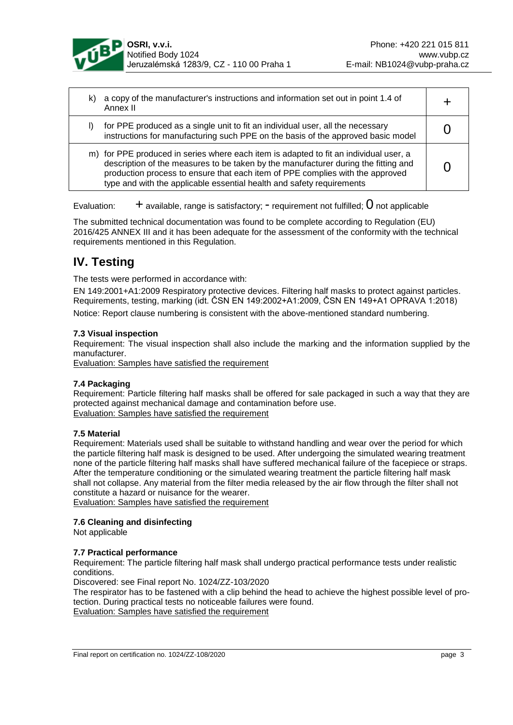

| a copy of the manufacturer's instructions and information set out in point 1.4 of<br>k)<br>Annex II                                                                                                                                                                                                                                   |  |
|---------------------------------------------------------------------------------------------------------------------------------------------------------------------------------------------------------------------------------------------------------------------------------------------------------------------------------------|--|
| for PPE produced as a single unit to fit an individual user, all the necessary<br>instructions for manufacturing such PPE on the basis of the approved basic model                                                                                                                                                                    |  |
| m) for PPE produced in series where each item is adapted to fit an individual user, a<br>description of the measures to be taken by the manufacturer during the fitting and<br>production process to ensure that each item of PPE complies with the approved<br>type and with the applicable essential health and safety requirements |  |

Evaluation:  $+$  available, range is satisfactory;  $-$  requirement not fulfilled;  $0$  not applicable

The submitted technical documentation was found to be complete according to Regulation (EU) 2016/425 ANNEX III and it has been adequate for the assessment of the conformity with the technical requirements mentioned in this Regulation.

## **IV. Testing**

The tests were performed in accordance with:

EN 149:2001+A1:2009 Respiratory protective devices. Filtering half masks to protect against particles. Requirements, testing, marking (idt. ČSN EN 149:2002+A1:2009, ČSN EN 149+A1 OPRAVA 1:2018) Notice: Report clause numbering is consistent with the above-mentioned standard numbering.

## **7.3 Visual inspection**

Requirement: The visual inspection shall also include the marking and the information supplied by the manufacturer.

Evaluation: Samples have satisfied the requirement

## **7.4 Packaging**

Requirement: Particle filtering half masks shall be offered for sale packaged in such a way that they are protected against mechanical damage and contamination before use. Evaluation: Samples have satisfied the requirement

## **7.5 Material**

Requirement: Materials used shall be suitable to withstand handling and wear over the period for which the particle filtering half mask is designed to be used. After undergoing the simulated wearing treatment none of the particle filtering half masks shall have suffered mechanical failure of the facepiece or straps. After the temperature conditioning or the simulated wearing treatment the particle filtering half mask shall not collapse. Any material from the filter media released by the air flow through the filter shall not constitute a hazard or nuisance for the wearer.

Evaluation: Samples have satisfied the requirement

## **7.6 Cleaning and disinfecting**

Not applicable

## **7.7 Practical performance**

Requirement: The particle filtering half mask shall undergo practical performance tests under realistic conditions.

Discovered: see Final report No. 1024/ZZ-103/2020

The respirator has to be fastened with a clip behind the head to achieve the highest possible level of protection. During practical tests no noticeable failures were found. Evaluation: Samples have satisfied the requirement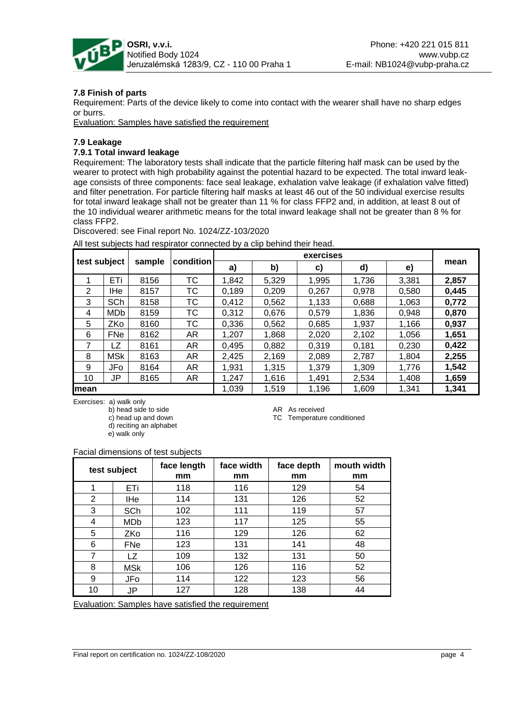

## **7.8 Finish of parts**

Requirement: Parts of the device likely to come into contact with the wearer shall have no sharp edges or burrs.

Evaluation: Samples have satisfied the requirement

### **7.9 Leakage**

### **7.9.1 Total inward leakage**

Requirement: The laboratory tests shall indicate that the particle filtering half mask can be used by the wearer to protect with high probability against the potential hazard to be expected. The total inward leakage consists of three components: face seal leakage, exhalation valve leakage (if exhalation valve fitted) and filter penetration. For particle filtering half masks at least 46 out of the 50 individual exercise results for total inward leakage shall not be greater than 11 % for class FFP2 and, in addition, at least 8 out of the 10 individual wearer arithmetic means for the total inward leakage shall not be greater than 8 % for class FFP2.

Discovered: see Final report No. 1024/ZZ-103/2020

| test subject |            |        | exercises |       |       |       |       |       |       |
|--------------|------------|--------|-----------|-------|-------|-------|-------|-------|-------|
|              |            | sample | condition | a)    | b)    | c)    | d)    | e)    | mean  |
|              | ETi        | 8156   | тс        | 1,842 | 5,329 | 1,995 | 1,736 | 3,381 | 2,857 |
| 2            | <b>IHe</b> | 8157   | ТC        | 0,189 | 0,209 | 0,267 | 0,978 | 0,580 | 0,445 |
| 3            | SCh        | 8158   | тс        | 0.412 | 0,562 | 1,133 | 0,688 | 1,063 | 0,772 |
| 4            | <b>MDb</b> | 8159   | ТC        | 0.312 | 0,676 | 0.579 | 1,836 | 0,948 | 0,870 |
| 5            | ZKo        | 8160   | ТC        | 0.336 | 0,562 | 0,685 | 1.937 | 1,166 | 0,937 |
| 6            | <b>FNe</b> | 8162   | AR        | 1,207 | 1,868 | 2,020 | 2,102 | 1,056 | 1,651 |
| 7            | LZ         | 8161   | AR        | 0,495 | 0,882 | 0.319 | 0.181 | 0,230 | 0,422 |
| 8            | <b>MSk</b> | 8163   | AR        | 2,425 | 2,169 | 2,089 | 2,787 | 1,804 | 2,255 |
| 9            | JFo        | 8164   | AR        | 1,931 | 1,315 | 1,379 | 1,309 | 1,776 | 1,542 |
| 10           | <b>JP</b>  | 8165   | AR        | 1,247 | 1,616 | 1,491 | 2,534 | 1,408 | 1,659 |
| lmean        |            |        |           | 1,039 | 1,519 | 1,196 | 1,609 | 1,341 | 1,341 |

All test subjects had respirator connected by a clip behind their head.

Exercises: a) walk only

b) head side to side<br>
c) head up and down<br>
C Temperature

 d) reciting an alphabet e) walk only

TC Temperature conditioned

### Facial dimensions of test subjects

| test subject   |            | face length<br>mm | face width<br>mm | face depth<br>mm | mouth width<br>mm |
|----------------|------------|-------------------|------------------|------------------|-------------------|
| 1              | ETi        | 118               | 116              | 129              | 54                |
| $\overline{2}$ | IHe        | 114               | 131              | 126              | 52                |
| 3              | <b>SCh</b> | 102               | 111              | 119              | 57                |
| 4              | <b>MDb</b> | 123               | 117              | 125              | 55                |
| 5              | ZKo        | 116               | 129              | 126              | 62                |
| 6              | <b>FNe</b> | 123               | 131              | 141              | 48                |
| 7              | LZ         | 109               | 132              | 131              | 50                |
| 8              | <b>MSk</b> | 106               | 126              | 116              | 52                |
| 9              | JFo        | 114               | 122              | 123              | 56                |
| 10             | JP         | 127               | 128              | 138              | 44                |

Evaluation: Samples have satisfied the requirement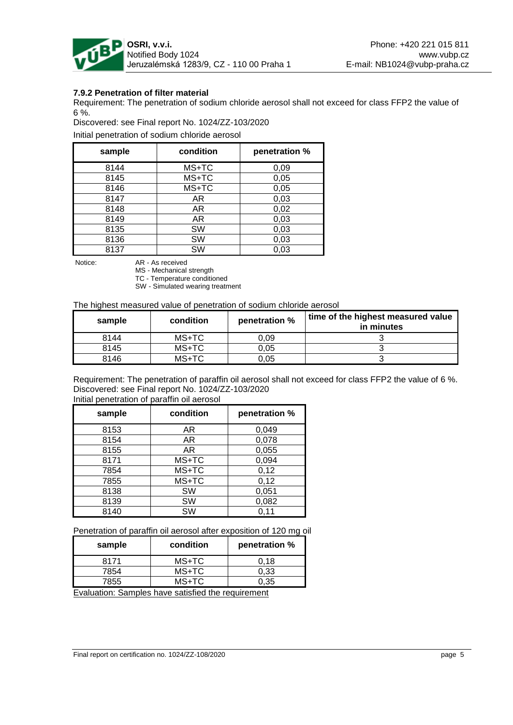

## **7.9.2 Penetration of filter material**

Requirement: The penetration of sodium chloride aerosol shall not exceed for class FFP2 the value of 6 %.

Discovered: see Final report No. 1024/ZZ-103/2020

Initial penetration of sodium chloride aerosol

| sample | condition | penetration % |
|--------|-----------|---------------|
| 8144   | MS+TC     | 0,09          |
| 8145   | MS+TC     | 0,05          |
| 8146   | MS+TC     | 0,05          |
| 8147   | AR.       | 0,03          |
| 8148   | AR        | 0,02          |
| 8149   | AR        | 0,03          |
| 8135   | <b>SW</b> | 0,03          |
| 8136   | SW        | 0,03          |
| 8137   | SW        | 0,03          |

Notice: AR - As received MS - Mechanical strength

TC - Temperature conditioned

SW - Simulated wearing treatment

The highest measured value of penetration of sodium chloride aerosol

| sample | condition | penetration % | time of the highest measured value<br>in minutes |
|--------|-----------|---------------|--------------------------------------------------|
| 8144   | MS+TC     | 0.09          |                                                  |
| 8145   | MS+TC     | 0.05          |                                                  |
| 8146   | $MS+TC$   | 0.05          |                                                  |

Requirement: The penetration of paraffin oil aerosol shall not exceed for class FFP2 the value of 6 %. Discovered: see Final report No. 1024/ZZ-103/2020 Initial penetration of paraffin oil aerosol

| sample | condition | penetration % |
|--------|-----------|---------------|
| 8153   | AR        | 0,049         |
| 8154   | AR        | 0,078         |
| 8155   | AR.       | 0,055         |
| 8171   | MS+TC     | 0,094         |
| 7854   | MS+TC     | 0,12          |
| 7855   | MS+TC     | 0,12          |
| 8138   | <b>SW</b> | 0,051         |
| 8139   | SW        | 0,082         |
| 8140   | SW        | 0,11          |

Penetration of paraffin oil aerosol after exposition of 120 mg oil

| sample                  | condition | penetration % |
|-------------------------|-----------|---------------|
| 8171                    | MS+TC     | 0.18          |
| 7854                    | MS+TC     | 0.33          |
| 7855                    | MS+TC     | 0.35          |
| $\sim$<br>$\sim$ $\sim$ | .         |               |

Evaluation: Samples have satisfied the requirement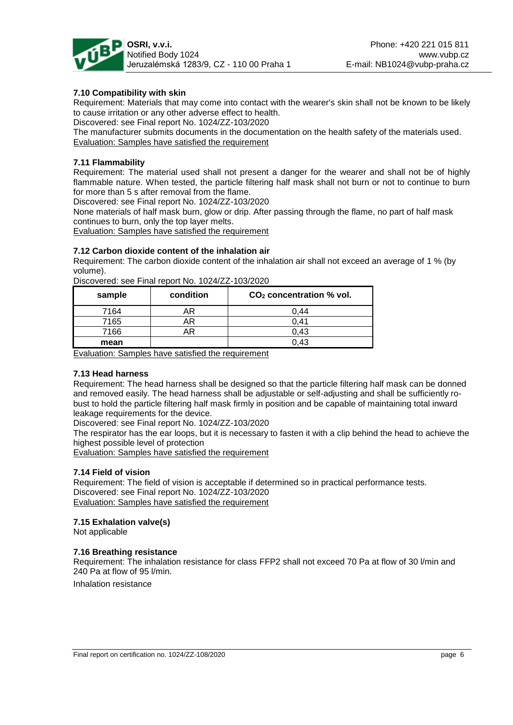

## **7.10 Compatibility with skin**

Requirement: Materials that may come into contact with the wearer's skin shall not be known to be likely to cause irritation or any other adverse effect to health.

Discovered: see Final report No. 1024/ZZ-103/2020

The manufacturer submits documents in the documentation on the health safety of the materials used. Evaluation: Samples have satisfied the requirement

### **7.11 Flammability**

Requirement: The material used shall not present a danger for the wearer and shall not be of highly flammable nature. When tested, the particle filtering half mask shall not burn or not to continue to burn for more than 5 s after removal from the flame.

Discovered: see Final report No. 1024/ZZ-103/2020

None materials of half mask burn, glow or drip. After passing through the flame, no part of half mask continues to burn, only the top layer melts.

Evaluation: Samples have satisfied the requirement

### **7.12 Carbon dioxide content of the inhalation air**

Requirement: The carbon dioxide content of the inhalation air shall not exceed an average of 1 % (by volume).

Discovered: see Final report No. 1024/ZZ-103/2020

| sample | condition | $CO2$ concentration % vol. |
|--------|-----------|----------------------------|
| 7164   | ΑR        | 0.44                       |
| 7165   | AR        | 0.41                       |
| 7166   |           | 0.43                       |
| mean   |           |                            |

Evaluation: Samples have satisfied the requirement

#### **7.13 Head harness**

Requirement: The head harness shall be designed so that the particle filtering half mask can be donned and removed easily. The head harness shall be adjustable or self-adjusting and shall be sufficiently robust to hold the particle filtering half mask firmly in position and be capable of maintaining total inward leakage requirements for the device.

Discovered: see Final report No. 1024/ZZ-103/2020

The respirator has the ear loops, but it is necessary to fasten it with a clip behind the head to achieve the highest possible level of protection

Evaluation: Samples have satisfied the requirement

#### **7.14 Field of vision**

Requirement: The field of vision is acceptable if determined so in practical performance tests. Discovered: see Final report No. 1024/ZZ-103/2020 Evaluation: Samples have satisfied the requirement

#### **7.15 Exhalation valve(s)**

Not applicable

## **7.16 Breathing resistance**

Requirement: The inhalation resistance for class FFP2 shall not exceed 70 Pa at flow of 30 l/min and 240 Pa at flow of 95 l/min.

Inhalation resistance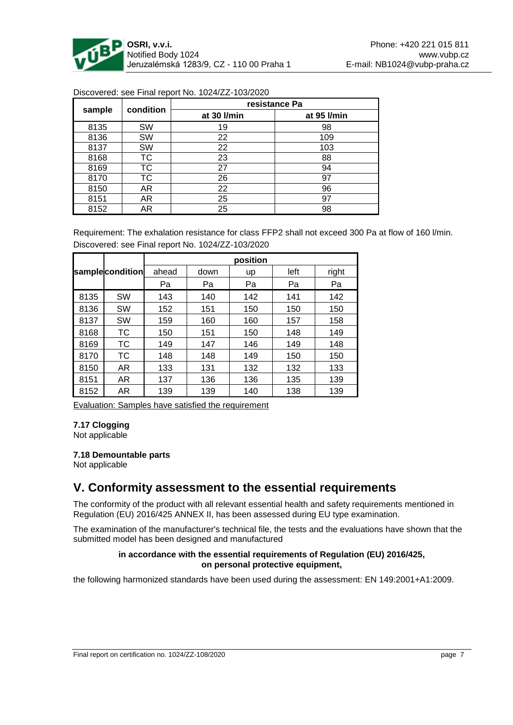

| sample | condition | resistance Pa |             |  |
|--------|-----------|---------------|-------------|--|
|        |           | at 30 l/min   | at 95 l/min |  |
| 8135   | <b>SW</b> | 19            | 98          |  |
| 8136   | <b>SW</b> | 22            | 109         |  |
| 8137   | SW        | 22            | 103         |  |
| 8168   | TC        | 23            | 88          |  |
| 8169   | TC        | 27            | 94          |  |
| 8170   | TC        | 26            | 97          |  |
| 8150   | AR        | 22            | 96          |  |
| 8151   | AR.       | 25            | 97          |  |
| 8152   | AR        | 25            | 98          |  |

Discovered: see Final report No. 1024/ZZ-103/2020

Requirement: The exhalation resistance for class FFP2 shall not exceed 300 Pa at flow of 160 l/min. Discovered: see Final report No. 1024/ZZ-103/2020

|      |                 | position |      |     |      |       |
|------|-----------------|----------|------|-----|------|-------|
|      | samplecondition | ahead    | down | up  | left | right |
|      |                 | Pa       | Pa   | Pa  | Pa   | Pa    |
| 8135 | <b>SW</b>       | 143      | 140  | 142 | 141  | 142   |
| 8136 | <b>SW</b>       | 152      | 151  | 150 | 150  | 150   |
| 8137 | <b>SW</b>       | 159      | 160  | 160 | 157  | 158   |
| 8168 | ТC              | 150      | 151  | 150 | 148  | 149   |
| 8169 | ТC              | 149      | 147  | 146 | 149  | 148   |
| 8170 | ТC              | 148      | 148  | 149 | 150  | 150   |
| 8150 | AR              | 133      | 131  | 132 | 132  | 133   |
| 8151 | AR              | 137      | 136  | 136 | 135  | 139   |
| 8152 | AR              | 139      | 139  | 140 | 138  | 139   |

Evaluation: Samples have satisfied the requirement

## **7.17 Clogging**

Not applicable

#### **7.18 Demountable parts**

Not applicable

## **V. Conformity assessment to the essential requirements**

The conformity of the product with all relevant essential health and safety requirements mentioned in Regulation (EU) 2016/425 ANNEX II, has been assessed during EU type examination.

The examination of the manufacturer's technical file, the tests and the evaluations have shown that the submitted model has been designed and manufactured

### **in accordance with the essential requirements of Regulation (EU) 2016/425, on personal protective equipment,**

the following harmonized standards have been used during the assessment: EN 149:2001+A1:2009.